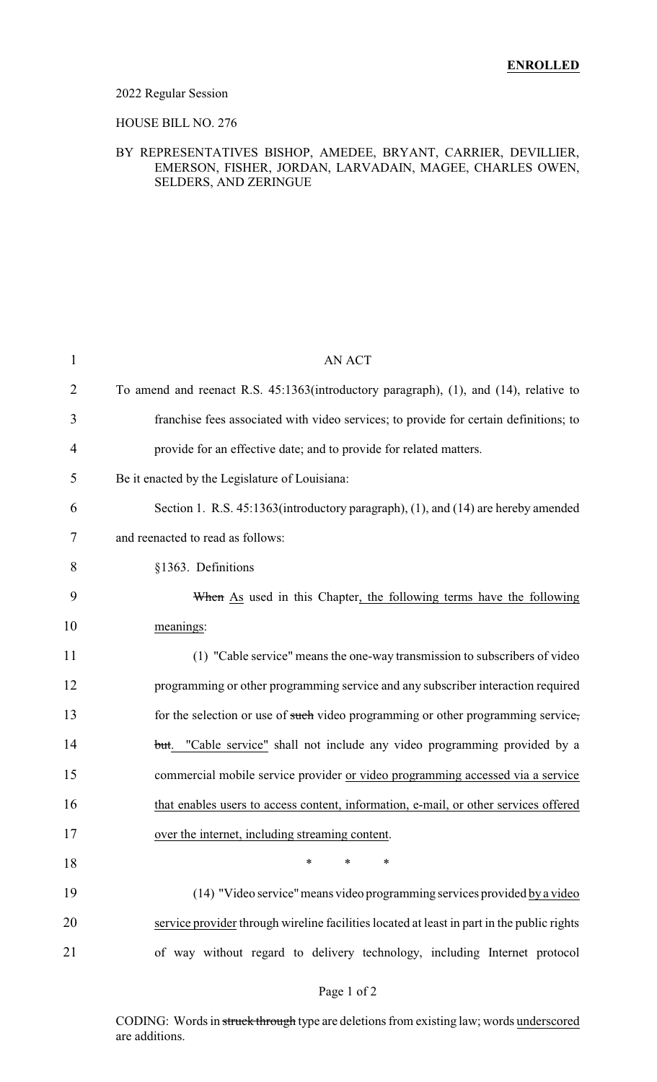### 2022 Regular Session

### HOUSE BILL NO. 276

### BY REPRESENTATIVES BISHOP, AMEDEE, BRYANT, CARRIER, DEVILLIER, EMERSON, FISHER, JORDAN, LARVADAIN, MAGEE, CHARLES OWEN, SELDERS, AND ZERINGUE

| $\mathbf{1}$ | <b>AN ACT</b>                                                                              |
|--------------|--------------------------------------------------------------------------------------------|
| 2            | To amend and reenact R.S. 45:1363(introductory paragraph), (1), and (14), relative to      |
| 3            | franchise fees associated with video services; to provide for certain definitions; to      |
| 4            | provide for an effective date; and to provide for related matters.                         |
| 5            | Be it enacted by the Legislature of Louisiana:                                             |
| 6            | Section 1. R.S. 45:1363(introductory paragraph), (1), and (14) are hereby amended          |
| 7            | and reenacted to read as follows:                                                          |
| 8            | §1363. Definitions                                                                         |
| 9            | When As used in this Chapter, the following terms have the following                       |
| 10           | meanings:                                                                                  |
| 11           | (1) "Cable service" means the one-way transmission to subscribers of video                 |
| 12           | programming or other programming service and any subscriber interaction required           |
| 13           | for the selection or use of such video programming or other programming service,           |
| 14           | but. "Cable service" shall not include any video programming provided by a                 |
| 15           | commercial mobile service provider or video programming accessed via a service             |
| 16           | that enables users to access content, information, e-mail, or other services offered       |
| 17           | over the internet, including streaming content.                                            |
| 18           | $\ast$<br>$\ast$<br>∗                                                                      |
| 19           | (14) "Video service" means video programming services provided by a video                  |
| 20           | service provider through wireline facilities located at least in part in the public rights |
| 21           | of way without regard to delivery technology, including Internet protocol                  |

### Page 1 of 2

CODING: Words in struck through type are deletions from existing law; words underscored are additions.